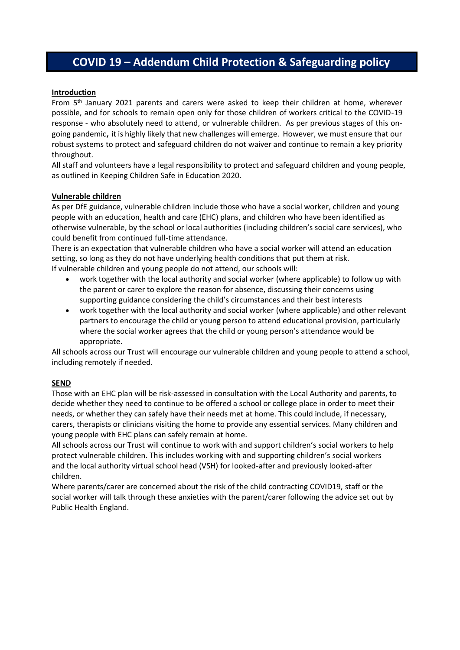# **COVID 19 – Addendum Child Protection & Safeguarding policy**

#### **Introduction**

From 5<sup>th</sup> January 2021 parents and carers were asked to keep their children at home, wherever possible, and for schools to remain open only for those children of workers critical to the COVID-19 response - who absolutely need to attend, or vulnerable children. As per previous stages of this ongoing pandemic, it is highly likely that new challenges will emerge. However, we must ensure that our robust systems to protect and safeguard children do not waiver and continue to remain a key priority throughout.

All staff and volunteers have a legal responsibility to protect and safeguard children and young people, as outlined in Keeping Children Safe in Education 2020.

#### **Vulnerable children**

As per DfE guidance, vulnerable children include those who have a social worker, children and young people with an education, health and care (EHC) plans, and children who have been identified as otherwise vulnerable, by the school or local authorities (including children's social care services), who could benefit from continued full-time attendance.

There is an expectation that vulnerable children who have a social worker will attend an education setting, so long as they do not have underlying health conditions that put them at risk. If vulnerable children and young people do not attend, our schools will:

- work together with the local authority and social worker (where applicable) to follow up with the parent or carer to explore the reason for absence, discussing their concerns using supporting guidance considering the child's circumstances and their best interests
- work together with the local authority and social worker (where applicable) and other relevant partners to encourage the child or young person to attend educational provision, particularly where the social worker agrees that the child or young person's attendance would be appropriate.

All schools across our Trust will encourage our vulnerable children and young people to attend a school, including remotely if needed.

# **SEND**

Those with an EHC plan will be risk-assessed in consultation with the Local Authority and parents, to decide whether they need to continue to be offered a school or college place in order to meet their needs, or whether they can safely have their needs met at home. This could include, if necessary, carers, therapists or clinicians visiting the home to provide any essential services. Many children and young people with EHC plans can safely remain at home.

All schools across our Trust will continue to work with and support children's social workers to help protect vulnerable children. This includes working with and supporting children's social workers and the local authority virtual school head (VSH) for looked-after and previously looked-after children.

Where parents/carer are concerned about the risk of the child contracting COVID19, staff or the social worker will talk through these anxieties with the parent/carer following the advice set out by Public Health England.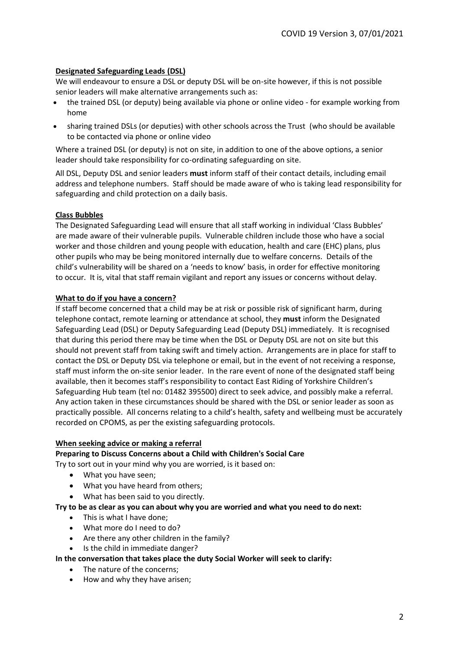# **Designated Safeguarding Leads (DSL)**

We will endeavour to ensure a DSL or deputy DSL will be on-site however, if this is not possible senior leaders will make alternative arrangements such as:

- the trained DSL (or deputy) being available via phone or online video for example working from home
- sharing trained DSLs (or deputies) with other schools across the Trust (who should be available to be contacted via phone or online video

Where a trained DSL (or deputy) is not on site, in addition to one of the above options, a senior leader should take responsibility for co-ordinating safeguarding on site.

All DSL, Deputy DSL and senior leaders **must** inform staff of their contact details, including email address and telephone numbers. Staff should be made aware of who is taking lead responsibility for safeguarding and child protection on a daily basis.

# **Class Bubbles**

The Designated Safeguarding Lead will ensure that all staff working in individual 'Class Bubbles' are made aware of their vulnerable pupils. Vulnerable children include those who have a social worker and those children and young people with education, health and care (EHC) plans, plus other pupils who may be being monitored internally due to welfare concerns. Details of the child's vulnerability will be shared on a 'needs to know' basis, in order for effective monitoring to occur. It is, vital that staff remain vigilant and report any issues or concerns without delay.

# **What to do if you have a concern?**

If staff become concerned that a child may be at risk or possible risk of significant harm, during telephone contact, remote learning or attendance at school, they **must** inform the Designated Safeguarding Lead (DSL) or Deputy Safeguarding Lead (Deputy DSL) immediately. It is recognised that during this period there may be time when the DSL or Deputy DSL are not on site but this should not prevent staff from taking swift and timely action. Arrangements are in place for staff to contact the DSL or Deputy DSL via telephone or email, but in the event of not receiving a response, staff must inform the on-site senior leader. In the rare event of none of the designated staff being available, then it becomes staff's responsibility to contact East Riding of Yorkshire Children's Safeguarding Hub team (tel no: 01482 395500) direct to seek advice, and possibly make a referral. Any action taken in these circumstances should be shared with the DSL or senior leader as soon as practically possible. All concerns relating to a child's health, safety and wellbeing must be accurately recorded on CPOMS, as per the existing safeguarding protocols.

# **When seeking advice or making a referral**

#### **Preparing to Discuss Concerns about a Child with Children's Social Care**

Try to sort out in your mind why you are worried, is it based on:

- What you have seen;
- What you have heard from others;
- What has been said to you directly.

# **Try to be as clear as you can about why you are worried and what you need to do next:**

- This is what I have done;
- What more do I need to do?
- Are there any other children in the family?
- Is the child in immediate danger?

#### **In the conversation that takes place the duty Social Worker will seek to clarify:**

- The nature of the concerns;
- How and why they have arisen;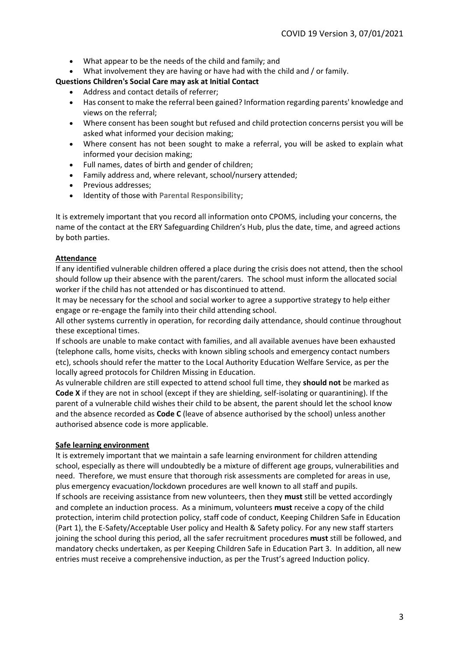- What appear to be the needs of the child and family; and
- What involvement they are having or have had with the child and / or family.

## **Questions Children's Social Care may ask at Initial Contact**

- Address and contact details of referrer;
- Has consent to make the referral been gained? Information regarding parents' knowledge and views on the referral;
- Where consent has been sought but refused and child protection concerns persist you will be asked what informed your decision making;
- Where consent has not been sought to make a referral, you will be asked to explain what informed your decision making;
- Full names, dates of birth and gender of children;
- Family address and, where relevant, school/nursery attended;
- Previous addresses;
- Identity of those with **Parental Responsibility**;

It is extremely important that you record all information onto CPOMS, including your concerns, the name of the contact at the ERY Safeguarding Children's Hub, plus the date, time, and agreed actions by both parties.

## **Attendance**

If any identified vulnerable children offered a place during the crisis does not attend, then the school should follow up their absence with the parent/carers. The school must inform the allocated social worker if the child has not attended or has discontinued to attend.

It may be necessary for the school and social worker to agree a supportive strategy to help either engage or re-engage the family into their child attending school.

All other systems currently in operation, for recording daily attendance, should continue throughout these exceptional times.

If schools are unable to make contact with families, and all available avenues have been exhausted (telephone calls, home visits, checks with known sibling schools and emergency contact numbers etc), schools should refer the matter to the Local Authority Education Welfare Service, as per the locally agreed protocols for Children Missing in Education.

As vulnerable children are still expected to attend school full time, they **should not** be marked as **Code X** if they are not in school (except if they are shielding, self-isolating or quarantining). If the parent of a vulnerable child wishes their child to be absent, the parent should let the school know and the absence recorded as **Code C** (leave of absence authorised by the school) unless another authorised absence code is more applicable.

#### **Safe learning environment**

It is extremely important that we maintain a safe learning environment for children attending school, especially as there will undoubtedly be a mixture of different age groups, vulnerabilities and need. Therefore, we must ensure that thorough risk assessments are completed for areas in use, plus emergency evacuation/lockdown procedures are well known to all staff and pupils. If schools are receiving assistance from new volunteers, then they **must** still be vetted accordingly and complete an induction process. As a minimum, volunteers **must** receive a copy of the child protection, interim child protection policy, staff code of conduct, Keeping Children Safe in Education (Part 1), the E-Safety/Acceptable User policy and Health & Safety policy. For any new staff starters joining the school during this period, all the safer recruitment procedures **must** still be followed, and mandatory checks undertaken, as per Keeping Children Safe in Education Part 3. In addition, all new entries must receive a comprehensive induction, as per the Trust's agreed Induction policy.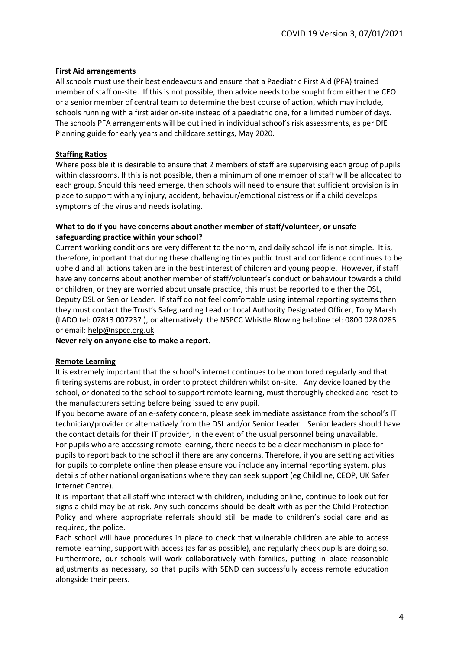# **First Aid arrangements**

All schools must use their best endeavours and ensure that a Paediatric First Aid (PFA) trained member of staff on-site. If this is not possible, then advice needs to be sought from either the CEO or a senior member of central team to determine the best course of action, which may include, schools running with a first aider on-site instead of a paediatric one, for a limited number of days. The schools PFA arrangements will be outlined in individual school's risk assessments, as per DfE Planning guide for early years and childcare settings, May 2020.

# **Staffing Ratios**

Where possible it is desirable to ensure that 2 members of staff are supervising each group of pupils within classrooms. If this is not possible, then a minimum of one member of staff will be allocated to each group. Should this need emerge, then schools will need to ensure that sufficient provision is in place to support with any injury, accident, behaviour/emotional distress or if a child develops symptoms of the virus and needs isolating.

## **What to do if you have concerns about another member of staff/volunteer, or unsafe safeguarding practice within your school?**

Current working conditions are very different to the norm, and daily school life is not simple. It is, therefore, important that during these challenging times public trust and confidence continues to be upheld and all actions taken are in the best interest of children and young people. However, if staff have any concerns about another member of staff/volunteer's conduct or behaviour towards a child or children, or they are worried about unsafe practice, this must be reported to either the DSL, Deputy DSL or Senior Leader. If staff do not feel comfortable using internal reporting systems then they must contact the Trust's Safeguarding Lead or Local Authority Designated Officer, Tony Marsh (LADO tel: 07813 007237 ), or alternatively the NSPCC Whistle Blowing helpline tel: 0800 028 0285 or email: [help@nspcc.org.uk](mailto:help@nspcc.org.uk)

#### **Never rely on anyone else to make a report.**

#### **Remote Learning**

It is extremely important that the school's internet continues to be monitored regularly and that filtering systems are robust, in order to protect children whilst on-site. Any device loaned by the school, or donated to the school to support remote learning, must thoroughly checked and reset to the manufacturers setting before being issued to any pupil.

If you become aware of an e-safety concern, please seek immediate assistance from the school's IT technician/provider or alternatively from the DSL and/or Senior Leader. Senior leaders should have the contact details for their IT provider, in the event of the usual personnel being unavailable. For pupils who are accessing remote learning, there needs to be a clear mechanism in place for pupils to report back to the school if there are any concerns. Therefore, if you are setting activities for pupils to complete online then please ensure you include any internal reporting system, plus details of other national organisations where they can seek support (eg Childline, CEOP, UK Safer Internet Centre).

It is important that all staff who interact with children, including online, continue to look out for signs a child may be at risk. Any such concerns should be dealt with as per the Child Protection Policy and where appropriate referrals should still be made to children's social care and as required, the police.

Each school will have procedures in place to check that vulnerable children are able to access remote learning, support with access (as far as possible), and regularly check pupils are doing so. Furthermore, our schools will work collaboratively with families, putting in place reasonable adjustments as necessary, so that pupils with SEND can successfully access remote education alongside their peers.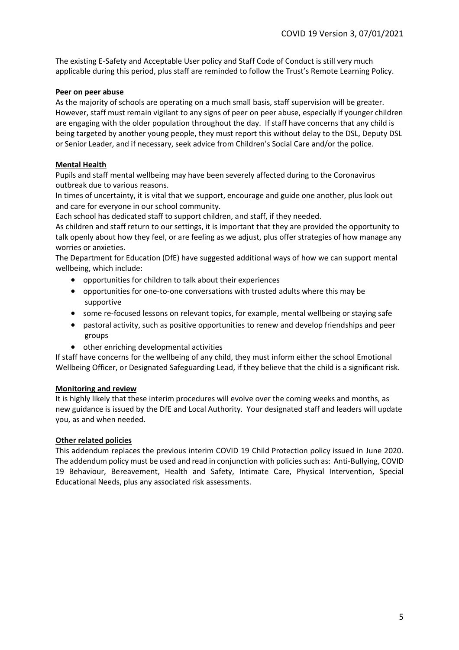The existing E-Safety and Acceptable User policy and Staff Code of Conduct is still very much applicable during this period, plus staff are reminded to follow the Trust's Remote Learning Policy.

## **Peer on peer abuse**

As the majority of schools are operating on a much small basis, staff supervision will be greater. However, staff must remain vigilant to any signs of peer on peer abuse, especially if younger children are engaging with the older population throughout the day. If staff have concerns that any child is being targeted by another young people, they must report this without delay to the DSL, Deputy DSL or Senior Leader, and if necessary, seek advice from Children's Social Care and/or the police.

# **Mental Health**

Pupils and staff mental wellbeing may have been severely affected during to the Coronavirus outbreak due to various reasons.

In times of uncertainty, it is vital that we support, encourage and guide one another, plus look out and care for everyone in our school community.

Each school has dedicated staff to support children, and staff, if they needed.

As children and staff return to our settings, it is important that they are provided the opportunity to talk openly about how they feel, or are feeling as we adjust, plus offer strategies of how manage any worries or anxieties.

The Department for Education (DfE) have suggested additional ways of how we can support mental wellbeing, which include:

- opportunities for children to talk about their experiences
- opportunities for one-to-one conversations with trusted adults where this may be supportive
- some re-focused lessons on relevant topics, for example, mental wellbeing or staying safe
- pastoral activity, such as positive opportunities to renew and develop friendships and peer groups
- other enriching developmental activities

If staff have concerns for the wellbeing of any child, they must inform either the school Emotional Wellbeing Officer, or Designated Safeguarding Lead, if they believe that the child is a significant risk.

#### **Monitoring and review**

It is highly likely that these interim procedures will evolve over the coming weeks and months, as new guidance is issued by the DfE and Local Authority. Your designated staff and leaders will update you, as and when needed.

#### **Other related policies**

This addendum replaces the previous interim COVID 19 Child Protection policy issued in June 2020. The addendum policy must be used and read in conjunction with policies such as: Anti-Bullying, COVID 19 Behaviour, Bereavement, Health and Safety, Intimate Care, Physical Intervention, Special Educational Needs, plus any associated risk assessments.